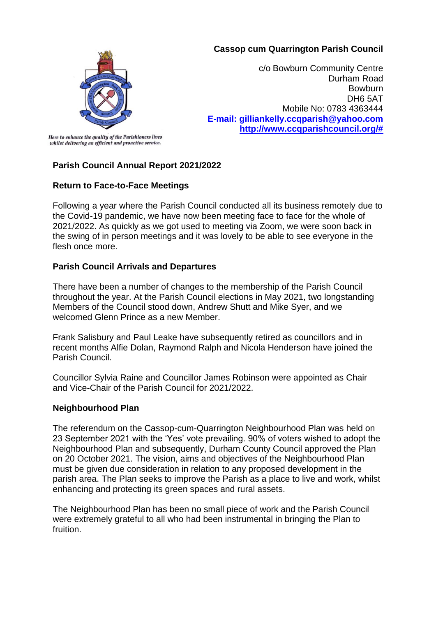# **Cassop cum Quarrington Parish Council**



c/o Bowburn Community Centre Durham Road **Bowburn** DH6 5AT Mobile No: 0783 4363444 **E-mail: gilliankelly.ccqparish@yahoo.com [http://www.ccqparishcouncil.org/#](http://www.ccqparishcouncil.org/)**

Here to enhance the quality of the Parishioners lives whilst delivering an efficient and proactive service.

# **Parish Council Annual Report 2021/2022**

# **Return to Face-to-Face Meetings**

Following a year where the Parish Council conducted all its business remotely due to the Covid-19 pandemic, we have now been meeting face to face for the whole of 2021/2022. As quickly as we got used to meeting via Zoom, we were soon back in the swing of in person meetings and it was lovely to be able to see everyone in the flesh once more.

# **Parish Council Arrivals and Departures**

There have been a number of changes to the membership of the Parish Council throughout the year. At the Parish Council elections in May 2021, two longstanding Members of the Council stood down, Andrew Shutt and Mike Syer, and we welcomed Glenn Prince as a new Member.

Frank Salisbury and Paul Leake have subsequently retired as councillors and in recent months Alfie Dolan, Raymond Ralph and Nicola Henderson have joined the Parish Council.

Councillor Sylvia Raine and Councillor James Robinson were appointed as Chair and Vice-Chair of the Parish Council for 2021/2022.

# **Neighbourhood Plan**

The referendum on the Cassop-cum-Quarrington Neighbourhood Plan was held on 23 September 2021 with the 'Yes' vote prevailing. 90% of voters wished to adopt the Neighbourhood Plan and subsequently, Durham County Council approved the Plan on 20 October 2021. The vision, aims and objectives of the Neighbourhood Plan must be given due consideration in relation to any proposed development in the parish area. The Plan seeks to improve the Parish as a place to live and work, whilst enhancing and protecting its green spaces and rural assets.

The Neighbourhood Plan has been no small piece of work and the Parish Council were extremely grateful to all who had been instrumental in bringing the Plan to fruition.